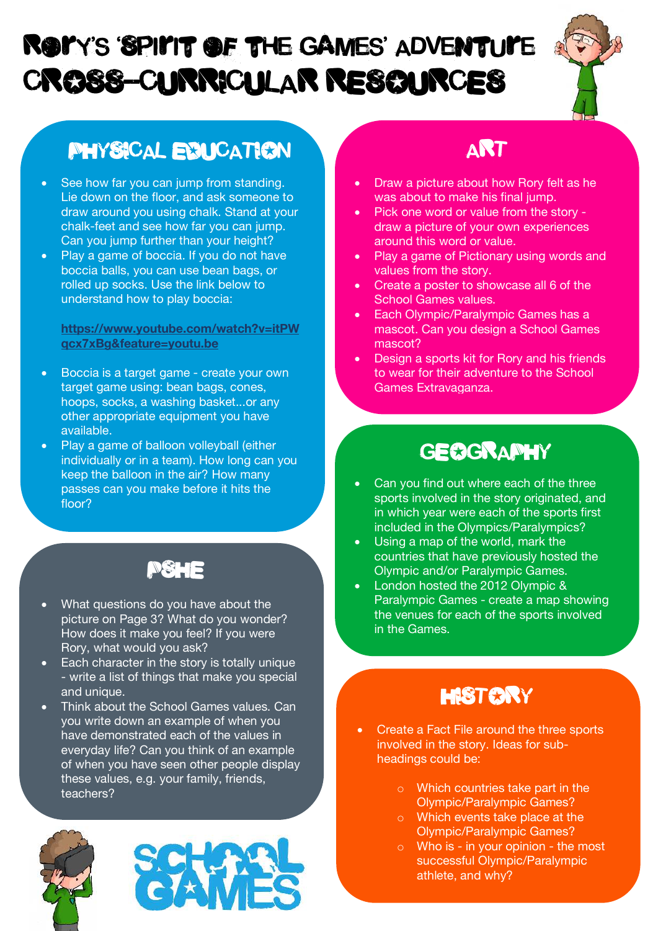# CROSS-CURRICULAR RESOURCES ROYY'S 'SPILIT OF THE GAMES' ADVENTULE



## PHYSICAL EDUCATION

- See how far you can jump from standing. Lie down on the floor, and ask someone to draw around you using chalk. Stand at your chalk-feet and see how far you can jump. Can you jump further than your height?
- Play a game of boccia. If you do not have boccia balls, you can use bean bags, or rolled up socks. Use the link below to understand how to play boccia:

**https://www.youtube.com/watch?v=itPW qcx7xBg&feature=youtu.be**

- Boccia is a target game create your own target game using: bean bags, cones, hoops, socks, a washing basket...or any other appropriate equipment you have available.
- Play a game of balloon volleyball (either individually or in a team). How long can you keep the balloon in the air? How many passes can you make before it hits the floor?

#### PSHE

- What questions do you have about the picture on Page 3? What do you wonder? How does it make you feel? If you were Rory, what would you ask?
- Each character in the story is totally unique - write a list of things that make you special and unique.
- Think about the School Games values. Can you write down an example of when you have demonstrated each of the values in everyday life? Can you think of an example of when you have seen other people display these values, e.g. your family, friends, teachers?





## ART

- Draw a picture about how Rory felt as he was about to make his final jump.
- Pick one word or value from the story draw a picture of your own experiences around this word or value.
- Play a game of Pictionary using words and values from the story.
- Create a poster to showcase all 6 of the School Games values.
- Each Olympic/Paralympic Games has a mascot. Can you design a School Games mascot?
- Design a sports kit for Rory and his friends to wear for their adventure to the School Games Extravaganza.

#### **GEOGRAPHY**

- Can you find out where each of the three sports involved in the story originated, and in which year were each of the sports first included in the Olympics/Paralympics?
- Using a map of the world, mark the countries that have previously hosted the Olympic and/or Paralympic Games.
- London hosted the 2012 Olympic & Paralympic Games - create a map showing the venues for each of the sports involved in the Games.

## **HISTORY**

- Create a Fact File around the three sports involved in the story. Ideas for subheadings could be:
	- o Which countries take part in the Olympic/Paralympic Games?
	- o Which events take place at the Olympic/Paralympic Games?
	- $\circ$  Who is in your opinion the most successful Olympic/Paralympic athlete, and why?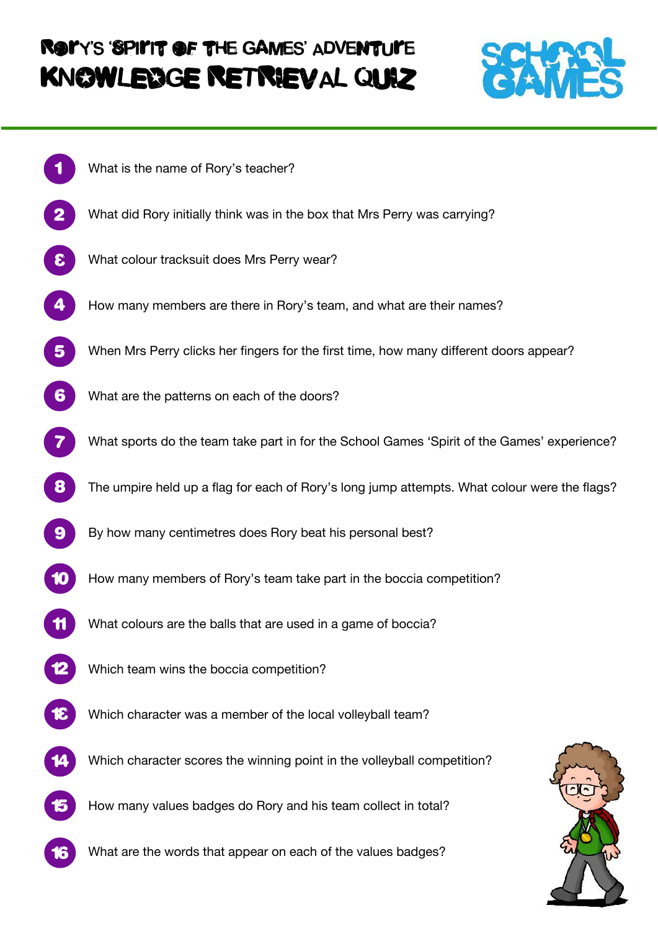# ROLY'S 'SPILIT OF THE GAMES' ADVENTULE KNOWLEDGE RETRIEVAL QUIZ